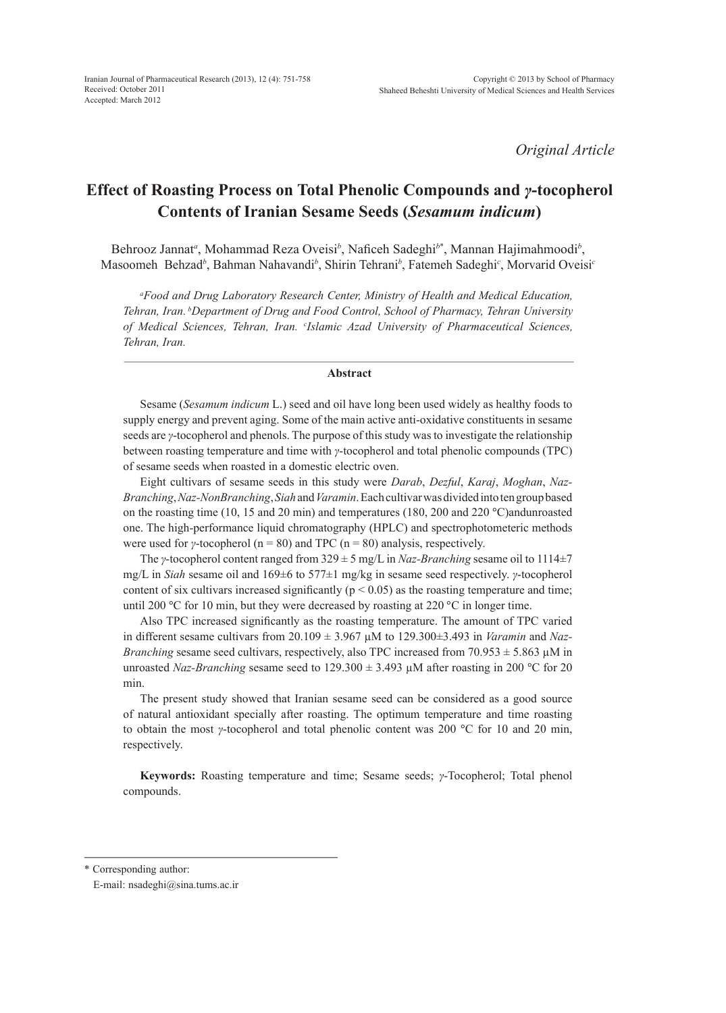*Original Article*

# **Effect of Roasting Process on Total Phenolic Compounds and** *γ***-tocopherol Contents of Iranian Sesame Seeds (***Sesamum indicum***)**

Behrooz Jannat<sup>a</sup>, Mohammad Reza Oveisi<sup>b</sup>, Naficeh Sadeghi<sup>b\*</sup>, Mannan Hajimahmoodi<sup>b</sup>, Masoomeh Behzad*<sup>b</sup>* , Bahman Nahavandi*<sup>b</sup>* , Shirin Tehrani*<sup>b</sup>* , Fatemeh Sadeghi*<sup>c</sup>* , Morvarid Oveisi*<sup>c</sup>*

*a Food and Drug Laboratory Research Center, Ministry of Health and Medical Education, Tehran, Iran. bDepartment of Drug and Food Control, School of Pharmacy, Tehran University of Medical Sciences, Tehran, Iran. c Islamic Azad University of Pharmaceutical Sciences, Tehran, Iran.*

# **Abstract**

Sesame (*Sesamum indicum* L.) seed and oil have long been used widely as healthy foods to supply energy and prevent aging. Some of the main active anti-oxidative constituents in sesame seeds are *γ*-tocopherol and phenols. The purpose of this study was to investigate the relationship between roasting temperature and time with *γ*-tocopherol and total phenolic compounds (TPC) of sesame seeds when roasted in a domestic electric oven.

Eight cultivars of sesame seeds in this study were *Darab*, *Dezful*, *Karaj*, *Moghan*, *Naz-Branching*, *Naz-NonBranching*, *Siah* and *Varamin*. Each cultivar was divided into ten group based on the roasting time (10, 15 and 20 min) and temperatures (180, 200 and 220 °C)andunroasted one. The high-performance liquid chromatography (HPLC) and spectrophotometeric methods were used for *γ*-tocopherol ( $n = 80$ ) and TPC ( $n = 80$ ) analysis, respectively.

The *γ*-tocopherol content ranged from 329 ± 5 mg/L in *Naz-Branching* sesame oil to 1114±7 mg/L in *Siah* sesame oil and 169±6 to 577±1 mg/kg in sesame seed respectively. *γ*-tocopherol content of six cultivars increased significantly ( $p < 0.05$ ) as the roasting temperature and time; until 200 °C for 10 min, but they were decreased by roasting at 220 °C in longer time.

Also TPC increased significantly as the roasting temperature. The amount of TPC varied in different sesame cultivars from  $20.109 \pm 3.967 \mu M$  to  $129.300 \pm 3.493$  in *Varamin* and *Naz*-*Branching* sesame seed cultivars, respectively, also TPC increased from  $70.953 \pm 5.863 \mu M$  in unroasted *Naz-Branching* sesame seed to 129.300 ± 3.493 µM after roasting in 200 °C for 20 min.

The present study showed that Iranian sesame seed can be considered as a good source of natural antioxidant specially after roasting. The optimum temperature and time roasting to obtain the most *γ*-tocopherol and total phenolic content was 200 °C for 10 and 20 min, respectively.

**Keywords:** Roasting temperature and time; Sesame seeds; *γ*-Tocopherol; Total phenol compounds.

\* Corresponding author:

E-mail: nsadeghi@sina.tums.ac.ir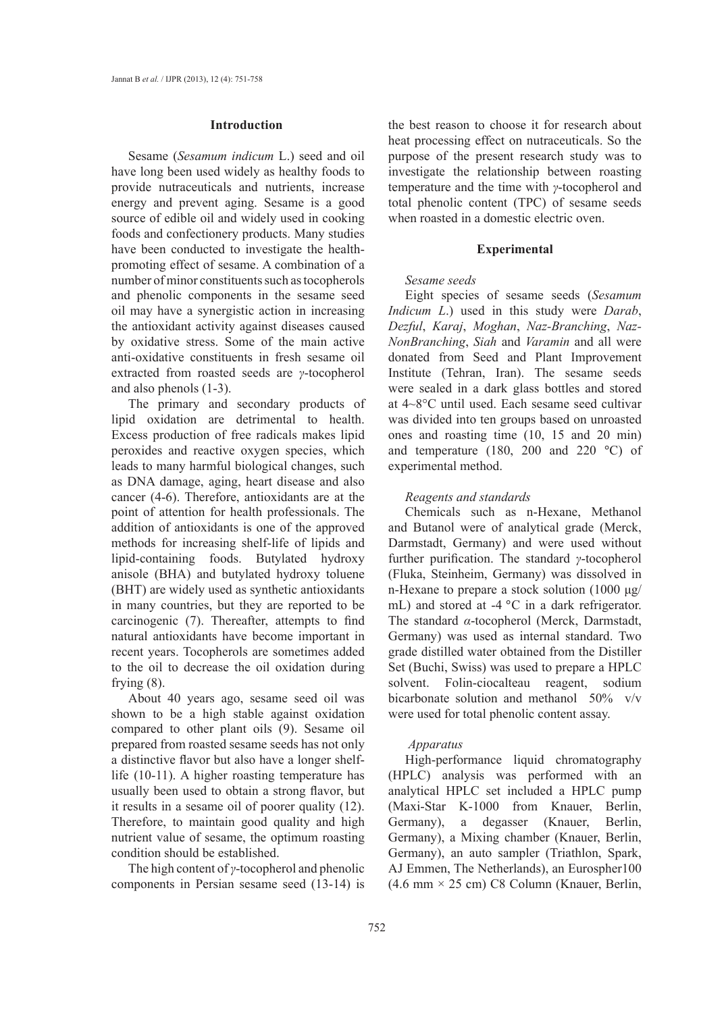#### **Introduction**

Sesame (*Sesamum indicum* L.) seed and oil have long been used widely as healthy foods to provide nutraceuticals and nutrients, increase energy and prevent aging. Sesame is a good source of edible oil and widely used in cooking foods and confectionery products. Many studies have been conducted to investigate the healthpromoting effect of sesame. A combination of a number of minor constituents such as tocopherols and phenolic components in the sesame seed oil may have a synergistic action in increasing the antioxidant activity against diseases caused by oxidative stress. Some of the main active anti-oxidative constituents in fresh sesame oil extracted from roasted seeds are *γ*-tocopherol and also phenols (1-3).

The primary and secondary products of lipid oxidation are detrimental to health. Excess production of free radicals makes lipid peroxides and reactive oxygen species, which leads to many harmful biological changes, such as DNA damage, aging, heart disease and also cancer (4-6). Therefore, antioxidants are at the point of attention for health professionals. The addition of antioxidants is one of the approved methods for increasing shelf-life of lipids and lipid-containing foods. Butylated hydroxy anisole (BHA) and butylated hydroxy toluene (BHT) are widely used as synthetic antioxidants in many countries, but they are reported to be carcinogenic (7). Thereafter, attempts to find natural antioxidants have become important in recent years. Tocopherols are sometimes added to the oil to decrease the oil oxidation during frying (8).

About 40 years ago, sesame seed oil was shown to be a high stable against oxidation compared to other plant oils (9). Sesame oil prepared from roasted sesame seeds has not only a distinctive flavor but also have a longer shelflife (10-11). A higher roasting temperature has usually been used to obtain a strong flavor, but it results in a sesame oil of poorer quality (12). Therefore, to maintain good quality and high nutrient value of sesame, the optimum roasting condition should be established.

The high content of *γ*-tocopherol and phenolic components in Persian sesame seed (13-14) is the best reason to choose it for research about heat processing effect on nutraceuticals. So the purpose of the present research study was to investigate the relationship between roasting temperature and the time with *γ*-tocopherol and total phenolic content (TPC) of sesame seeds when roasted in a domestic electric oven.

#### **Experimental**

#### *Sesame seeds*

Eight species of sesame seeds (*Sesamum Indicum L*.) used in this study were *Darab*, *Dezful*, *Karaj*, *Moghan*, *Naz-Branching*, *Naz-NonBranching*, *Siah* and *Varamin* and all were donated from Seed and Plant Improvement Institute (Tehran, Iran). The sesame seeds were sealed in a dark glass bottles and stored at 4~8°C until used. Each sesame seed cultivar was divided into ten groups based on unroasted ones and roasting time (10, 15 and 20 min) and temperature (180, 200 and 220 °C) of experimental method.

# *Reagents and standards*

Chemicals such as n-Hexane, Methanol and Butanol were of analytical grade (Merck, Darmstadt, Germany) and were used without further purification. The standard *γ*-tocopherol (Fluka, Steinheim, Germany) was dissolved in n-Hexane to prepare a stock solution (1000 μg/ mL) and stored at -4 °C in a dark refrigerator. The standard *α*-tocopherol (Merck, Darmstadt, Germany) was used as internal standard. Two grade distilled water obtained from the Distiller Set (Buchi, Swiss) was used to prepare a HPLC solvent. Folin-ciocalteau reagent, sodium bicarbonate solution and methanol 50% v/v were used for total phenolic content assay.

#### *Apparatus*

High-performance liquid chromatography (HPLC) analysis was performed with an analytical HPLC set included a HPLC pump (Maxi-Star K-1000 from Knauer, Berlin, Germany), a degasser (Knauer, Berlin, Germany), a Mixing chamber (Knauer, Berlin, Germany), an auto sampler (Triathlon, Spark, AJ Emmen, The Netherlands), an Eurospher100  $(4.6 \text{ mm} \times 25 \text{ cm}) \text{ C8}$  Column (Knauer, Berlin,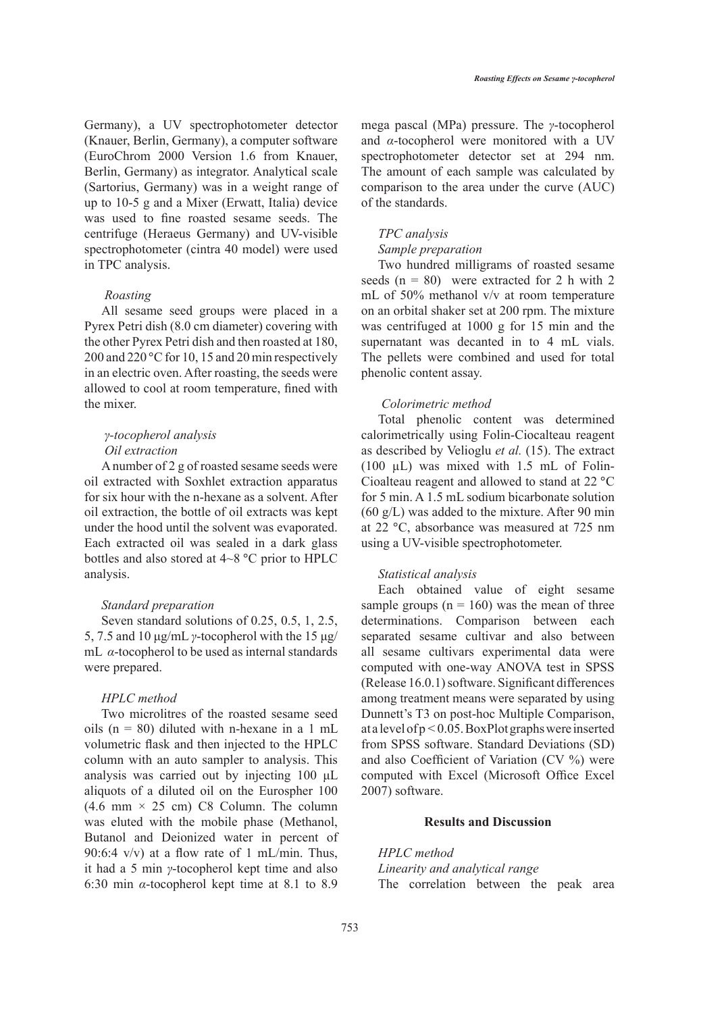Germany), a UV spectrophotometer detector (Knauer, Berlin, Germany), a computer software (EuroChrom 2000 Version 1.6 from Knauer, Berlin, Germany) as integrator. Analytical scale (Sartorius, Germany) was in a weight range of up to 10-5 g and a Mixer (Erwatt, Italia) device was used to fine roasted sesame seeds. The centrifuge (Heraeus Germany) and UV-visible spectrophotometer (cintra 40 model) were used in TPC analysis.

#### *Roasting*

All sesame seed groups were placed in a Pyrex Petri dish (8.0 cm diameter) covering with the other Pyrex Petri dish and then roasted at 180, 200 and 220 °C for 10, 15 and 20 min respectively in an electric oven. After roasting, the seeds were allowed to cool at room temperature, fined with the mixer.

# *γ-tocopherol analysis Oil extraction*

A number of 2 g of roasted sesame seeds were oil extracted with Soxhlet extraction apparatus for six hour with the n-hexane as a solvent. After oil extraction, the bottle of oil extracts was kept under the hood until the solvent was evaporated. Each extracted oil was sealed in a dark glass bottles and also stored at 4~8 °C prior to HPLC analysis.

# *Standard preparation*

Seven standard solutions of 0.25, 0.5, 1, 2.5, 5, 7.5 and 10 μg/mL *γ*-tocopherol with the 15 μg/ mL *α*-tocopherol to be used as internal standards were prepared.

# *HPLC method*

Two microlitres of the roasted sesame seed oils  $(n = 80)$  diluted with n-hexane in a 1 mL volumetric flask and then injected to the HPLC column with an auto sampler to analysis. This analysis was carried out by injecting 100 μL aliquots of a diluted oil on the Eurospher 100  $(4.6 \text{ mm} \times 25 \text{ cm}) \text{ C8}$  Column. The column was eluted with the mobile phase (Methanol, Butanol and Deionized water in percent of 90:6:4  $v/v$ ) at a flow rate of 1 mL/min. Thus, it had a 5 min *γ*-tocopherol kept time and also 6:30 min *α*-tocopherol kept time at 8.1 to 8.9

mega pascal (MPa) pressure. The *γ*-tocopherol and *α*-tocopherol were monitored with a UV spectrophotometer detector set at 294 nm. The amount of each sample was calculated by comparison to the area under the curve (AUC) of the standards.

# *TPC analysis*

#### *Sample preparation*

Two hundred milligrams of roasted sesame seeds  $(n = 80)$  were extracted for 2 h with 2 mL of 50% methanol v/v at room temperature on an orbital shaker set at 200 rpm. The mixture was centrifuged at 1000 g for 15 min and the supernatant was decanted in to 4 mL vials. The pellets were combined and used for total phenolic content assay.

# *Colorimetric method*

Total phenolic content was determined calorimetrically using Folin-Ciocalteau reagent as described by Velioglu *et al.* (15). The extract (100 µL) was mixed with 1.5 mL of Folin-Cioalteau reagent and allowed to stand at 22 °C for 5 min. A 1.5 mL sodium bicarbonate solution (60 g/L) was added to the mixture. After 90 min at 22 °C, absorbance was measured at 725 nm using a UV-visible spectrophotometer.

# *Statistical analysis*

Each obtained value of eight sesame sample groups ( $n = 160$ ) was the mean of three determinations. Comparison between each separated sesame cultivar and also between all sesame cultivars experimental data were computed with one-way ANOVA test in SPSS (Release 16.0.1) software. Significant differences among treatment means were separated by using Dunnett's T3 on post-hoc Multiple Comparison, at a level of p *<* 0.05. BoxPlot graphs were inserted from SPSS software. Standard Deviations (SD) and also Coefficient of Variation (CV %) were computed with Excel (Microsoft Office Excel 2007) software.

# **Results and Discussion**

*HPLC method Linearity and analytical range* The correlation between the peak area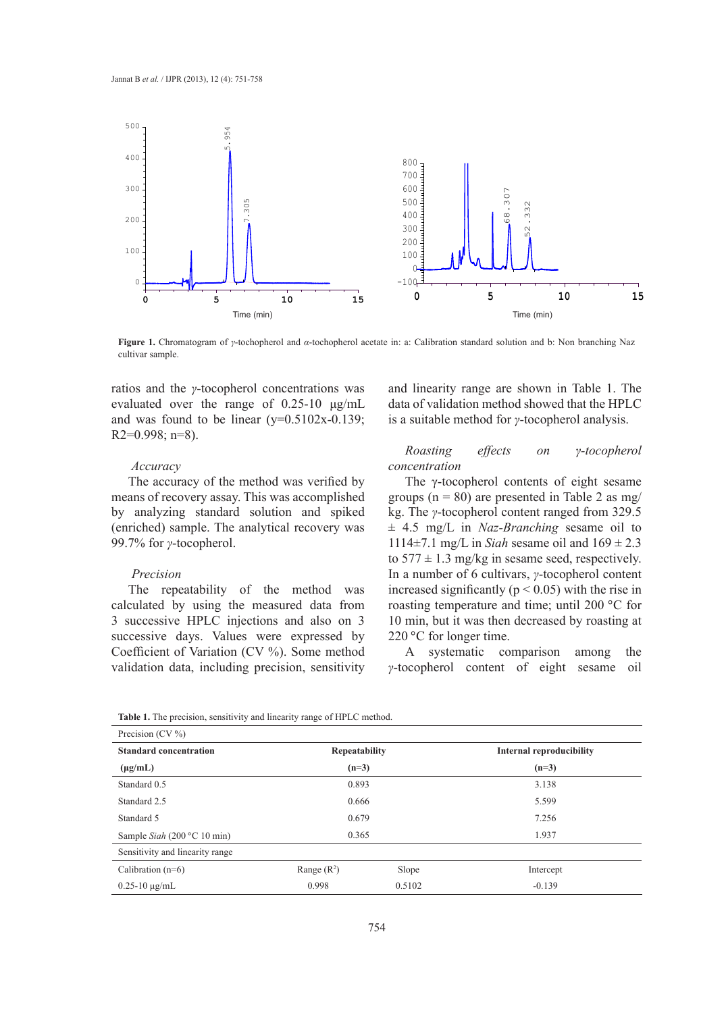

**Figure 1.** Chromatogram of *γ*-tochopherol and *α*-tochopherol acetate in: a: Calibration standard solution and b: Non branching Naz cultivar sample.

ratios and the *γ*-tocopherol concentrations was evaluated over the range of 0.25-10 μg/mL and was found to be linear  $(y=0.5102x-0.139)$ ; R2=0.998; n=8).

#### *Accuracy*

The accuracy of the method was verified by means of recovery assay. This was accomplished by analyzing standard solution and spiked (enriched) sample. The analytical recovery was 99.7% for *γ*-tocopherol.

# *Precision*

The repeatability of the method was calculated by using the measured data from 3 successive HPLC injections and also on 3 successive days. Values were expressed by Coefficient of Variation (CV %). Some method validation data, including precision, sensitivity and linearity range are shown in Table 1. The data of validation method showed that the HPLC is a suitable method for *γ*-tocopherol analysis.

# *Roasting effects on γ-tocopherol concentration*

The γ-tocopherol contents of eight sesame groups ( $n = 80$ ) are presented in Table 2 as mg/ kg. The *γ*-tocopherol content ranged from 329.5 ± 4.5 mg/L in *Naz-Branching* sesame oil to 1114 $\pm$ 7.1 mg/L in *Siah* sesame oil and  $169 \pm 2.3$ to  $577 \pm 1.3$  mg/kg in sesame seed, respectively. In a number of 6 cultivars, *γ*-tocopherol content increased significantly ( $p < 0.05$ ) with the rise in roasting temperature and time; until 200 °C for 10 min, but it was then decreased by roasting at 220 °C for longer time.

A systematic comparison among the *γ*-tocopherol content of eight sesame oil

| Precision $(CV\%)$              |                      |        |                                 |  |  |
|---------------------------------|----------------------|--------|---------------------------------|--|--|
| <b>Standard concentration</b>   | <b>Repeatability</b> |        | <b>Internal reproducibility</b> |  |  |
| $(\mu g/mL)$                    | $(n=3)$              |        | $(n=3)$                         |  |  |
| Standard 0.5                    | 0.893                |        | 3.138                           |  |  |
| Standard 2.5                    | 0.666                |        | 5.599                           |  |  |
| Standard 5                      | 0.679                |        | 7.256                           |  |  |
| Sample Siah (200 $°C$ 10 min)   | 0.365                |        | 1.937                           |  |  |
| Sensitivity and linearity range |                      |        |                                 |  |  |
| Calibration $(n=6)$             | Range $(R^2)$        | Slope  | Intercept                       |  |  |
| $0.25 - 10 \mu g/mL$            | 0.998                | 0.5102 | $-0.139$                        |  |  |

**Table 1.** The precision, sensitivity and linearity range of HPLC method.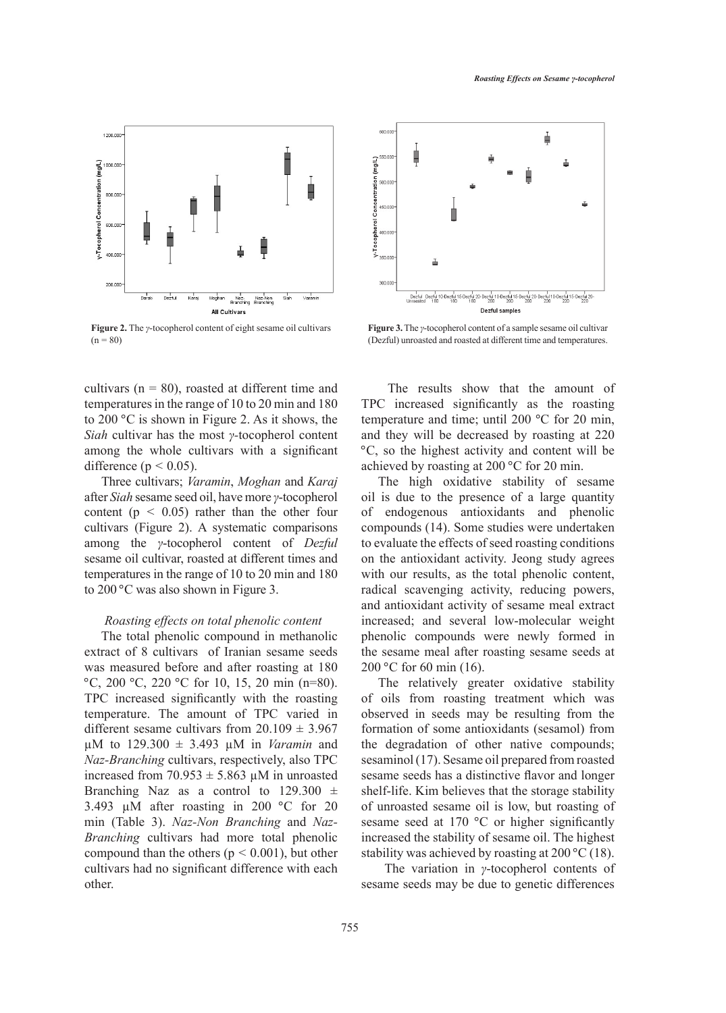

**Figure 2.** The *γ*-tocopherol content of eight sesame oil cultivars  $(n = 80)$ 

cultivars ( $n = 80$ ), roasted at different time and temperatures in the range of 10 to 20 min and 180 to 200 °C is shown in Figure 2. As it shows, the *Siah* cultivar has the most *γ-*tocopherol content among the whole cultivars with a significant difference ( $p < 0.05$ ).

Three cultivars; *Varamin*, *Moghan* and *Karaj* after *Siah* sesame seed oil, have more *γ*-tocopherol content ( $p < 0.05$ ) rather than the other four cultivars (Figure 2). A systematic comparisons among the *γ*-tocopherol content of *Dezful* sesame oil cultivar, roasted at different times and temperatures in the range of 10 to 20 min and 180 to 200 °C was also shown in Figure 3.

# *Roasting effects on total phenolic content*

The total phenolic compound in methanolic extract of 8 cultivars of Iranian sesame seeds was measured before and after roasting at 180 °C, 200 °C, 220 °C for 10, 15, 20 min (n=80). TPC increased significantly with the roasting temperature. The amount of TPC varied in different sesame cultivars from  $20.109 \pm 3.967$ µM to 129.300 ± 3.493 µM in *Varamin* and *Naz-Branching* cultivars, respectively, also TPC increased from  $70.953 \pm 5.863 \mu M$  in unroasted Branching Naz as a control to  $129.300 \pm$ 3.493 µM after roasting in 200 °C for 20 min (Table 3). *Naz-Non Branching* and *Naz-Branching* cultivars had more total phenolic compound than the others (p *<* 0.001), but other cultivars had no significant difference with each other.



**Figure 3.** The *γ*-tocopherol content of a sample sesame oil cultivar (Dezful) unroasted and roasted at different time and temperatures.

 The results show that the amount of TPC increased significantly as the roasting temperature and time; until 200 °C for 20 min, and they will be decreased by roasting at 220 °C, so the highest activity and content will be achieved by roasting at 200 °C for 20 min.

The high oxidative stability of sesame oil is due to the presence of a large quantity of endogenous antioxidants and phenolic compounds (14). Some studies were undertaken to evaluate the effects of seed roasting conditions on the antioxidant activity. Jeong study agrees with our results, as the total phenolic content, radical scavenging activity, reducing powers, and antioxidant activity of sesame meal extract increased; and several low-molecular weight phenolic compounds were newly formed in the sesame meal after roasting sesame seeds at 200 °C for 60 min (16).

The relatively greater oxidative stability of oils from roasting treatment which was observed in seeds may be resulting from the formation of some antioxidants (sesamol) from the degradation of other native compounds; sesaminol (17). Sesame oil prepared from roasted sesame seeds has a distinctive flavor and longer shelf-life. Kim believes that the storage stability of unroasted sesame oil is low, but roasting of sesame seed at 170 °C or higher significantly increased the stability of sesame oil. The highest stability was achieved by roasting at 200 °C (18).

 The variation in *γ*-tocopherol contents of sesame seeds may be due to genetic differences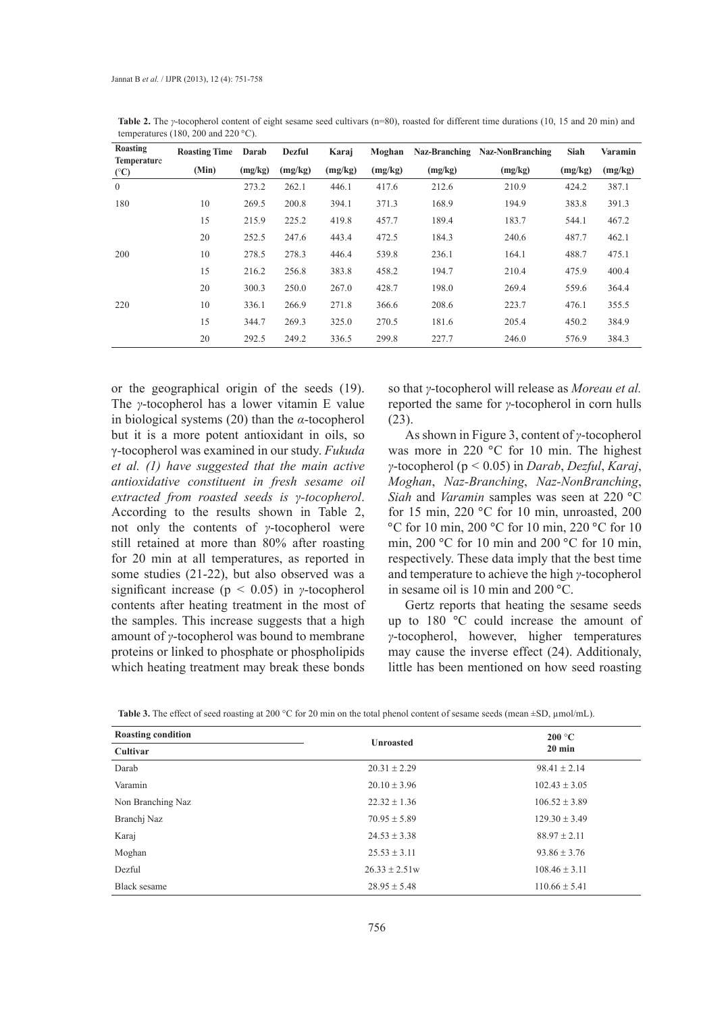| Roasting<br><b>Temperature</b> | <b>Roasting Time</b> | Darab   | <b>Dezful</b> | Karaj   | Moghan  |         | Naz-Branching Naz-NonBranching | Siah    | Varamin |
|--------------------------------|----------------------|---------|---------------|---------|---------|---------|--------------------------------|---------|---------|
| (C)                            | (Min)                | (mg/kg) | (mg/kg)       | (mg/kg) | (mg/kg) | (mg/kg) | (mg/kg)                        | (mg/kg) | (mg/kg) |
| $\overline{0}$                 |                      | 273.2   | 262.1         | 446.1   | 417.6   | 212.6   | 210.9                          | 424.2   | 387.1   |
| 180                            | 10                   | 269.5   | 200.8         | 394.1   | 371.3   | 168.9   | 194.9                          | 383.8   | 391.3   |
|                                | 15                   | 215.9   | 225.2         | 419.8   | 457.7   | 189.4   | 183.7                          | 544.1   | 467.2   |
|                                | 20                   | 252.5   | 247.6         | 443.4   | 472.5   | 184.3   | 240.6                          | 487.7   | 462.1   |
| 200                            | 10                   | 278.5   | 278.3         | 446.4   | 539.8   | 236.1   | 164.1                          | 488.7   | 475.1   |
|                                | 15                   | 216.2   | 256.8         | 383.8   | 458.2   | 194.7   | 210.4                          | 475.9   | 400.4   |
|                                | 20                   | 300.3   | 250.0         | 267.0   | 428.7   | 198.0   | 269.4                          | 559.6   | 364.4   |
| 220                            | 10                   | 336.1   | 266.9         | 271.8   | 366.6   | 208.6   | 223.7                          | 476.1   | 355.5   |
|                                | 15                   | 344.7   | 269.3         | 325.0   | 270.5   | 181.6   | 205.4                          | 450.2   | 384.9   |
|                                | 20                   | 292.5   | 249.2         | 336.5   | 299.8   | 227.7   | 246.0                          | 576.9   | 384.3   |

**Table 2.** The *γ*-tocopherol content of eight sesame seed cultivars (n=80), roasted for different time durations (10, 15 and 20 min) and temperatures (180, 200 and 220  $^{\circ}$ C).

or the geographical origin of the seeds (19). The *γ*-tocopherol has a lower vitamin E value in biological systems (20) than the *α*-tocopherol but it is a more potent antioxidant in oils, so γ-tocopherol was examined in our study. *Fukuda et al. (1) have suggested that the main active antioxidative constituent in fresh sesame oil extracted from roasted seeds is γ-tocopherol*. According to the results shown in Table 2, not only the contents of *γ*-tocopherol were still retained at more than 80% after roasting for 20 min at all temperatures, as reported in some studies (21-22), but also observed was a significant increase (p *<* 0.05) in *γ*-tocopherol contents after heating treatment in the most of the samples. This increase suggests that a high amount of *γ*-tocopherol was bound to membrane proteins or linked to phosphate or phospholipids which heating treatment may break these bonds

so that *γ*-tocopherol will release as *Moreau et al.* reported the same for *γ*-tocopherol in corn hulls (23).

As shown in Figure 3, content of *γ*-tocopherol was more in 220 °C for 10 min. The highest *γ*-tocopherol (p *<* 0.05) in *Darab*, *Dezful*, *Karaj*, *Moghan*, *Naz-Branching*, *Naz-NonBranching*, *Siah* and *Varamin* samples was seen at 220 °C for 15 min, 220 °C for 10 min, unroasted, 200 °C for 10 min, 200 °C for 10 min, 220 °C for 10 min, 200 °C for 10 min and 200 °C for 10 min, respectively. These data imply that the best time and temperature to achieve the high *γ*-tocopherol in sesame oil is 10 min and 200 °C.

Gertz reports that heating the sesame seeds up to 180 °C could increase the amount of *γ*-tocopherol, however, higher temperatures may cause the inverse effect (24). Additionaly, little has been mentioned on how seed roasting

| <b>Roasting condition</b> |                   | 200 °C<br>$20 \text{ min}$ |  |  |
|---------------------------|-------------------|----------------------------|--|--|
| Cultivar                  | <b>Unroasted</b>  |                            |  |  |
| Darab                     | $20.31 \pm 2.29$  | $98.41 \pm 2.14$           |  |  |
| Varamin                   | $20.10 \pm 3.96$  | $102.43 \pm 3.05$          |  |  |
| Non Branching Naz         | $22.32 \pm 1.36$  | $106.52 \pm 3.89$          |  |  |
| Branchi Naz               | $70.95 \pm 5.89$  | $129.30 \pm 3.49$          |  |  |
| Karaj                     | $24.53 \pm 3.38$  | $88.97 \pm 2.11$           |  |  |
| Moghan                    | $25.53 \pm 3.11$  | $93.86 \pm 3.76$           |  |  |
| Dezful                    | $26.33 \pm 2.51w$ | $108.46 \pm 3.11$          |  |  |
| Black sesame              | $28.95 \pm 5.48$  | $110.66 \pm 5.41$          |  |  |

**Table 3.** The effect of seed roasting at 200 °C for 20 min on the total phenol content of sesame seeds (mean ±SD, µmol/mL).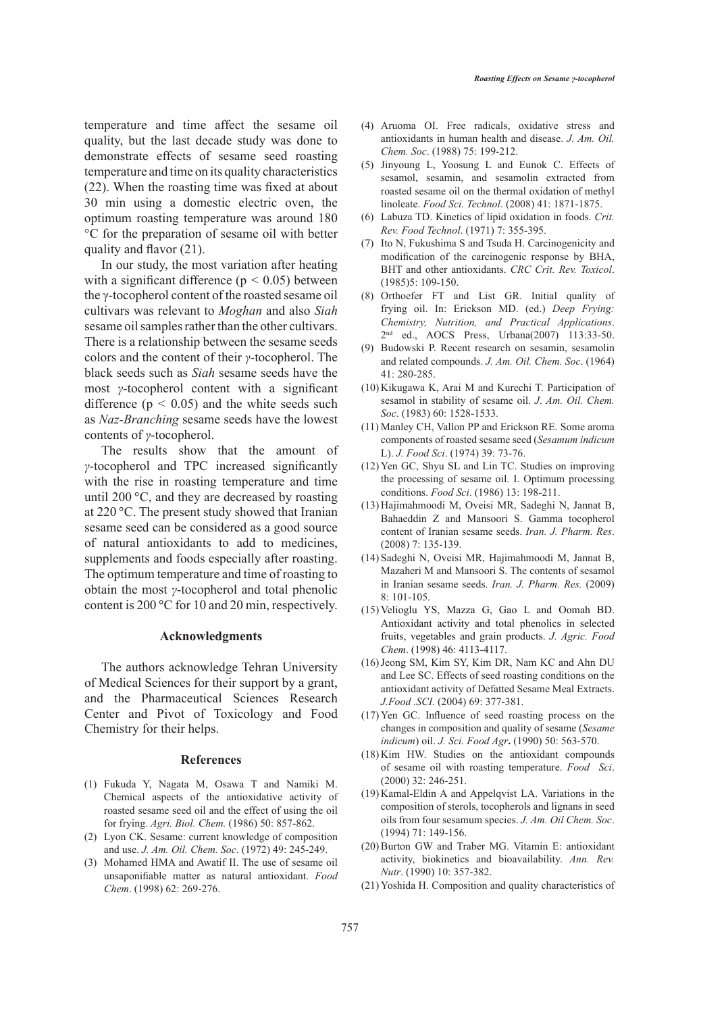temperature and time affect the sesame oil quality, but the last decade study was done to demonstrate effects of sesame seed roasting temperature and time on its quality characteristics (22). When the roasting time was fixed at about 30 min using a domestic electric oven, the optimum roasting temperature was around 180 °C for the preparation of sesame oil with better

quality and flavor (21).

In our study, the most variation after heating with a significant difference ( $p < 0.05$ ) between the γ-tocopherol content of the roasted sesame oil cultivars was relevant to *Moghan* and also *Siah* sesame oil samples rather than the other cultivars. There is a relationship between the sesame seeds colors and the content of their *γ*-tocopherol. The black seeds such as *Siah* sesame seeds have the most *γ*-tocopherol content with a significant difference  $(p < 0.05)$  and the white seeds such as *Naz-Branching* sesame seeds have the lowest contents of *γ*-tocopherol.

The results show that the amount of *γ*-tocopherol and TPC increased significantly with the rise in roasting temperature and time until 200 °C, and they are decreased by roasting at 220 °C. The present study showed that Iranian sesame seed can be considered as a good source of natural antioxidants to add to medicines, supplements and foods especially after roasting. The optimum temperature and time of roasting to obtain the most *γ*-tocopherol and total phenolic content is 200 °C for 10 and 20 min, respectively.

# **Acknowledgments**

The authors acknowledge Tehran University of Medical Sciences for their support by a grant, and the Pharmaceutical Sciences Research Center and Pivot of Toxicology and Food Chemistry for their helps.

#### **References**

- Fukuda Y, Nagata M, Osawa T and Namiki M. (1) Chemical aspects of the antioxidative activity of roasted sesame seed oil and the effect of using the oil for frying. *Agri. Biol. Chem.* (1986) 50: 857-862.
- Lyon CK. Sesame: current knowledge of composition (2) and use. *J. Am. Oil. Chem. Soc*. (1972) 49: 245-249.
- (3) Mohamed HMA and Awatif II. The use of sesame oil unsaponifiable matter as natural antioxidant. *Food Chem*. (1998) 62: 269-276.
- Aruoma OI. Free radicals, oxidative stress and (4) antioxidants in human health and disease. *J. Am. Oil. Chem. Soc*. (1988) 75: 199-212.
- (5) Jinyoung L, Yoosung L and Eunok C. Effects of sesamol, sesamin, and sesamolin extracted from roasted sesame oil on the thermal oxidation of methyl linoleate. *Food Sci. Technol*. (2008) 41: 1871-1875.
- Labuza TD. Kinetics of lipid oxidation in foods. *Crit.*  (6) *Rev. Food Technol*. (1971) 7: 355-395.
- $(7)$  Ito N, Fukushima S and Tsuda H. Carcinogenicity and modification of the carcinogenic response by BHA, BHT and other antioxidants. *CRC Crit. Rev. Toxicol*. (1985)5: 109-150.
- (8) Orthoefer FT and List GR. Initial quality of frying oil. In: Erickson MD. (ed.) *Deep Frying: Chemistry, Nutrition, and Practical Applications*. 2nd ed., AOCS Press, Urbana(2007) 113:33-50.
- Budowski P. Recent research on sesamin, sesamolin (9) and related compounds. *J. Am. Oil. Chem. Soc*. (1964) 41: 280-285.
- $(10)$  Kikugawa K, Arai M and Kurechi T. Participation of sesamol in stability of sesame oil. *J*. *Am. Oil. Chem. Soc*. (1983) 60: 1528-1533.
- Manley CH, Vallon PP and Erickson RE. Some aroma (11) components of roasted sesame seed (*Sesamum indicum* L). *J. Food Sci*. (1974) 39: 73-76.
- (12) Yen GC, Shyu SL and Lin TC. Studies on improving the processing of sesame oil. I. Optimum processing conditions. *Food Sci*. (1986) 13: 198-211.
- (13) Hajimahmoodi M, Oveisi MR, Sadeghi N, Jannat B, Bahaeddin Z and Mansoori S. Gamma tocopherol content of Iranian sesame seeds. *Iran. J. Pharm. Res*. (2008) 7: 135-139.
- Sadeghi N, Oveisi MR, Hajimahmoodi M, Jannat B, (14) Mazaheri M and Mansoori S. The contents of sesamol in Iranian sesame seeds. *Iran. J. Pharm. Res.* (2009) 8: 101-105.
- $(15)$  Velioglu YS, Mazza G, Gao L and Oomah BD. Antioxidant activity and total phenolics in selected fruits, vegetables and grain products. *J. Agric. Food Chem*. (1998) 46: 4113-4117.
- (16) Jeong SM, Kim SY, Kim DR, Nam KC and Ahn DU and Lee SC. Effects of seed roasting conditions on the antioxidant activity of Defatted Sesame Meal Extracts. *J.Food .SCI.* (2004) 69: 377-381.
- $(17)$  Yen GC. Influence of seed roasting process on the changes in composition and quality of sesame (*Sesame indicum*) oil. *J. Sci. Food Agr***.** (1990) 50: 563-570.
- $(18)$  Kim HW. Studies on the antioxidant compounds of sesame oil with roasting temperature. *Food Sci*. (2000) 32: 246-251.
- (19) Kamal-Eldin A and Appelqvist LA. Variations in the composition of sterols, tocopherols and lignans in seed oils from four sesamum species. *J. Am. Oil Chem. Soc*. (1994) 71: 149-156.
- $(20)$  Burton GW and Traber MG. Vitamin E: antioxidant activity, biokinetics and bioavailability. *Ann. Rev. Nutr*. (1990) 10: 357-382.
- (21) Yoshida H. Composition and quality characteristics of